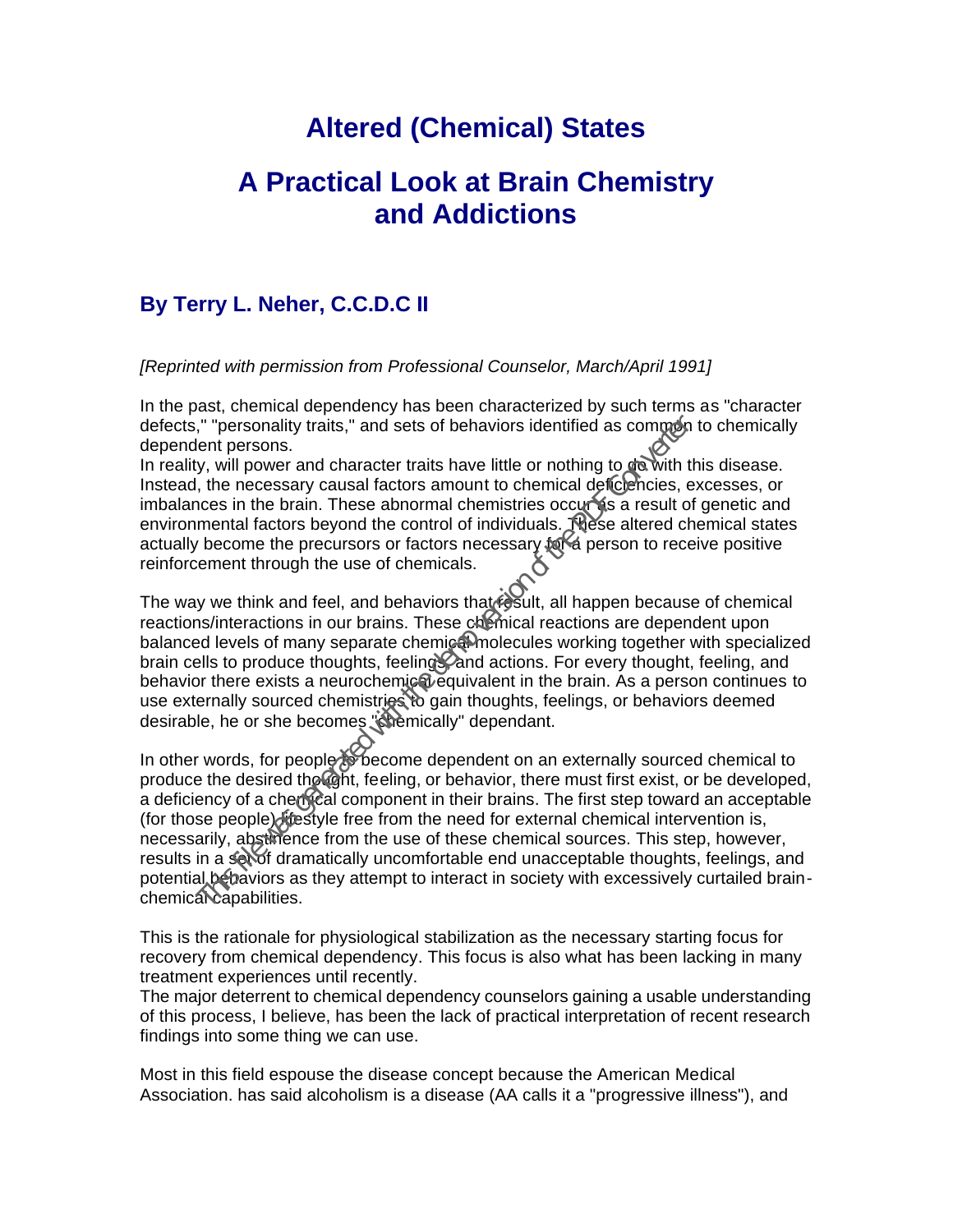## **Altered (Chemical) States**

## **A Practical Look at Brain Chemistry and Addictions**

## **By Terry L. Neher, C.C.D.C II**

*[Reprinted with permission from Professional Counselor, March/April 1991]*

In the past, chemical dependency has been characterized by such terms as "character defects," "personality traits," and sets of behaviors identified as common to chemically dependent persons.

In reality, will power and character traits have little or nothing to  $d\delta$  with this disease. Instead, the necessary causal factors amount to chemical deficiencies, excesses, or imbalances in the brain. These abnormal chemistries occurses a result of genetic and environmental factors beyond the control of individuals. These altered chemical states actually become the precursors or factors necessary  $f \circ \mathbb{R}$  person to receive positive reinforcement through the use of chemicals.

The way we think and feel, and behaviors that result, all happen because of chemical reactions/interactions in our brains. These chemical reactions are dependent upon balanced levels of many separate chemiga molecules working together with specialized brain cells to produce thoughts, feelings, and actions. For every thought, feeling, and behavior there exists a neurochemical equivalent in the brain. As a person continues to use externally sourced chemistries to gain thoughts, feelings, or behaviors deemed desirable, he or she becomes "chemically" dependant.

In other words, for people  $\delta \delta$  become dependent on an externally sourced chemical to produce the desired thought, feeling, or behavior, there must first exist, or be developed, a deficiency of a chemical component in their brains. The first step toward an acceptable (for those people) lifestyle free from the need for external chemical intervention is, necessarily, abstinence from the use of these chemical sources. This step, however, results in a set of dramatically uncomfortable end unacceptable thoughts, feelings, and potential behaviors as they attempt to interact in society with excessively curtailed brainchemical capabilities. <sup>1,</sup> "personality traits," and sets of behaviors identified as common<br>ent persons.<br>By, will power and character traits have little or nothing to down<br>the tyse with power and character traits have little or nothing to down<br>

This is the rationale for physiological stabilization as the necessary starting focus for recovery from chemical dependency. This focus is also what has been lacking in many treatment experiences until recently.

The major deterrent to chemical dependency counselors gaining a usable understanding of this process, I believe, has been the lack of practical interpretation of recent research findings into some thing we can use.

Most in this field espouse the disease concept because the American Medical Association. has said alcoholism is a disease (AA calls it a "progressive illness"), and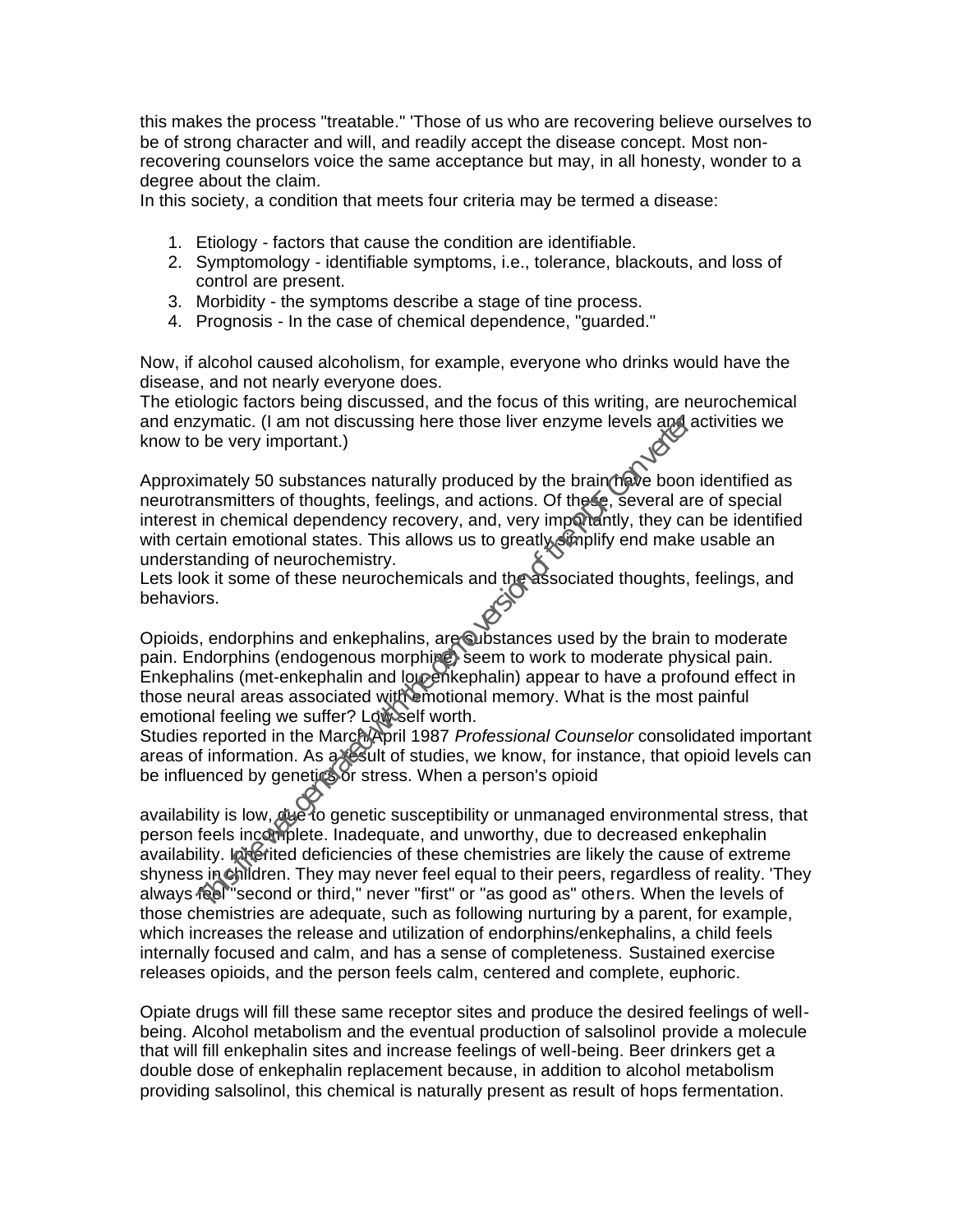this makes the process "treatable." 'Those of us who are recovering believe ourselves to be of strong character and will, and readily accept the disease concept. Most nonrecovering counselors voice the same acceptance but may, in all honesty, wonder to a degree about the claim.

In this society, a condition that meets four criteria may be termed a disease:

- 1. Etiology factors that cause the condition are identifiable.
- 2. Symptomology identifiable symptoms, i.e., tolerance, blackouts, and loss of control are present.
- 3. Morbidity the symptoms describe a stage of tine process.
- 4. Prognosis In the case of chemical dependence, "guarded."

Now, if alcohol caused alcoholism, for example, everyone who drinks would have the disease, and not nearly everyone does.

The etiologic factors being discussed, and the focus of this writing, are neurochemical and enzymatic. (I am not discussing here those liver enzyme levels and activities we know to be very important.)

Approximately 50 substances naturally produced by the brain have boon identified as neurotransmitters of thoughts, feelings, and actions. Of these, several are of special interest in chemical dependency recovery, and, very importantly, they can be identified with certain emotional states. This allows us to greatly simplify end make usable an understanding of neurochemistry.

Lets look it some of these neurochemicals and the associated thoughts, feelings, and behaviors.

Opioids, endorphins and enkephalins, are substances used by the brain to moderate pain. Endorphins (endogenous morphine) seem to work to moderate physical pain. Enkephalins (met-enkephalin and  $\log_{2}e^{\frac{1}{2}}$  hethalin) appear to have a profound effect in those neural areas associated with emotional memory. What is the most painful emotional feeling we suffer? Lowself worth.

Studies reported in the March/April 1987 *Professional Counselor* consolidated important areas of information. As a result of studies, we know, for instance, that opioid levels can be influenced by genetics or stress. When a person's opioid

availability is low, due to genetic susceptibility or unmanaged environmental stress, that person feels incomplete. Inadequate, and unworthy, due to decreased enkephalin availability. Interited deficiencies of these chemistries are likely the cause of extreme shyness in children. They may never feel equal to their peers, regardless of reality. 'They always feel "second or third," never "first" or "as good as" others. When the levels of those chemistries are adequate, such as following nurturing by a parent, for example, which increases the release and utilization of endorphins/enkephalins, a child feels internally focused and calm, and has a sense of completeness. Sustained exercise releases opioids, and the person feels calm, centered and complete, euphoric. report of the mord is a state of the demotion of the demotion of the since the demotion of the pair and the demotion ansmitters of thoughts, feelings, and actions. Of these, several at in chemical dependency recovery, and,

Opiate drugs will fill these same receptor sites and produce the desired feelings of wellbeing. Alcohol metabolism and the eventual production of salsolinol provide a molecule that will fill enkephalin sites and increase feelings of well-being. Beer drinkers get a double dose of enkephalin replacement because, in addition to alcohol metabolism providing salsolinol, this chemical is naturally present as result of hops fermentation.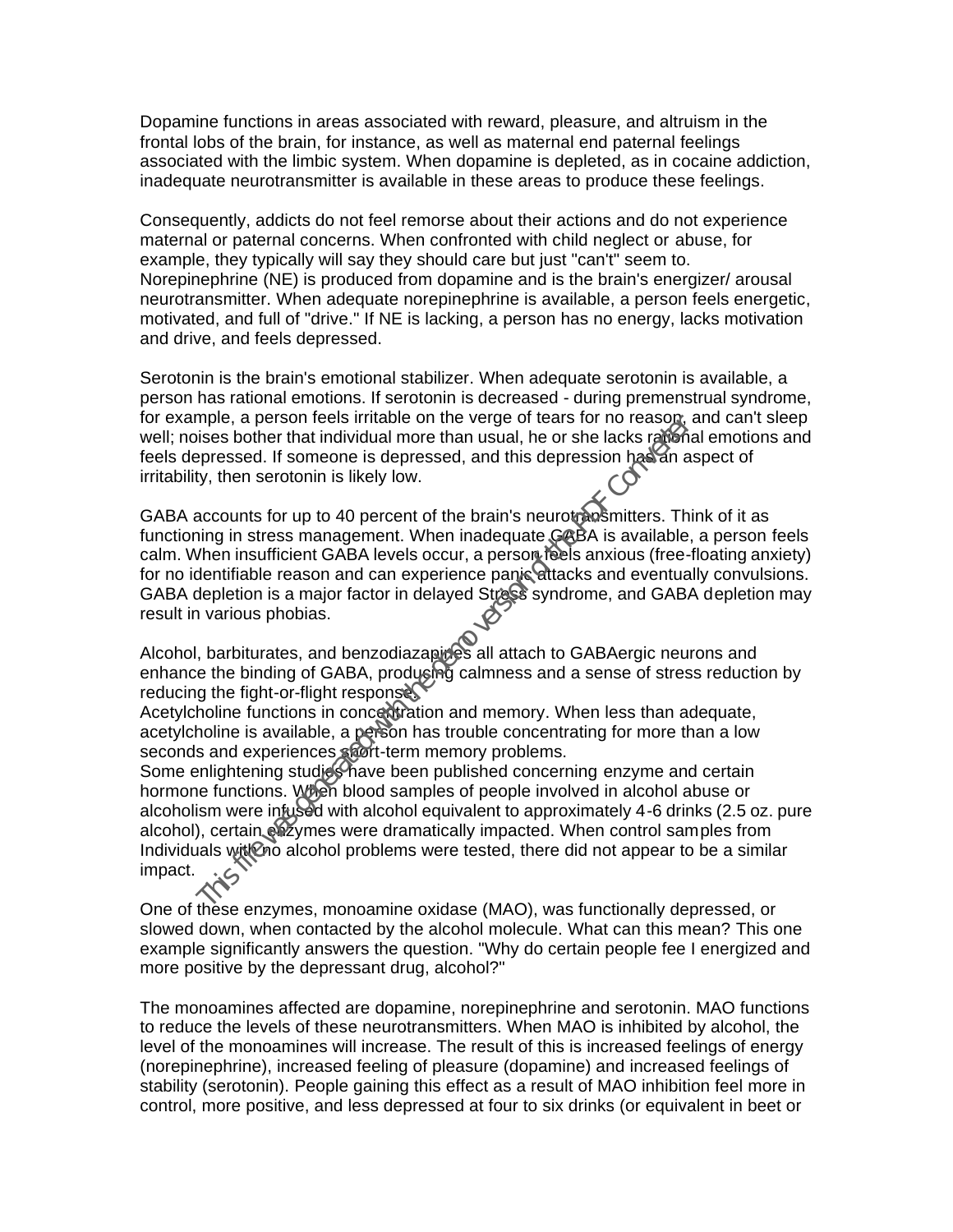Dopamine functions in areas associated with reward, pleasure, and altruism in the frontal lobs of the brain, for instance, as well as maternal end paternal feelings associated with the limbic system. When dopamine is depleted, as in cocaine addiction, inadequate neurotransmitter is available in these areas to produce these feelings.

Consequently, addicts do not feel remorse about their actions and do not experience maternal or paternal concerns. When confronted with child neglect or abuse, for example, they typically will say they should care but just "can't" seem to. Norepinephrine (NE) is produced from dopamine and is the brain's energizer/ arousal neurotransmitter. When adequate norepinephrine is available, a person feels energetic, motivated, and full of "drive." If NE is lacking, a person has no energy, lacks motivation and drive, and feels depressed.

Serotonin is the brain's emotional stabilizer. When adequate serotonin is available, a person has rational emotions. If serotonin is decreased - during premenstrual syndrome, for example, a person feels irritable on the verge of tears for no reason, and can't sleep well; noises bother that individual more than usual, he or she lacks rational emotions and feels depressed. If someone is depressed, and this depression has an aspect of irritability, then serotonin is likely low.

GABA accounts for up to 40 percent of the brain's neurotransmitters. Think of it as functioning in stress management. When inadequate GABA is available, a person feels calm. When insufficient GABA levels occur, a person feels anxious (free-floating anxiety) for no identifiable reason and can experience panic attacks and eventually convulsions. GABA depletion is a major factor in delayed Stress syndrome, and GABA depletion may result in various phobias.

Alcohol, barbiturates, and benzodiazapines all attach to GABAergic neurons and enhance the binding of GABA, producing calmness and a sense of stress reduction by reducing the fight-or-flight response.

Acetylcholine functions in concert tration and memory. When less than adequate, acetylcholine is available, a person has trouble concentrating for more than a low seconds and experiences short-term memory problems.

Some enlightening studies have been published concerning enzyme and certain hormone functions. When blood samples of people involved in alcohol abuse or alcoholism were infused with alcohol equivalent to approximately 4-6 drinks (2.5 oz. pure alcohol), certain enzymes were dramatically impacted. When control samples from Individuals with no alcohol problems were tested, there did not appear to be a similar impact. mise, a person income with a person and the demotion of the demotion of the demotion of the demotion of the PDF Con version has a sobre that individual more than usual, he or she lacks ration, then serotonin is likely low.

One of these enzymes, monoamine oxidase (MAO), was functionally depressed, or slowed down, when contacted by the alcohol molecule. What can this mean? This one example significantly answers the question. "Why do certain people fee I energized and more positive by the depressant drug, alcohol?"

The monoamines affected are dopamine, norepinephrine and serotonin. MAO functions to reduce the levels of these neurotransmitters. When MAO is inhibited by alcohol, the level of the monoamines will increase. The result of this is increased feelings of energy (norepinephrine), increased feeling of pleasure (dopamine) and increased feelings of stability (serotonin). People gaining this effect as a result of MAO inhibition feel more in control, more positive, and less depressed at four to six drinks (or equivalent in beet or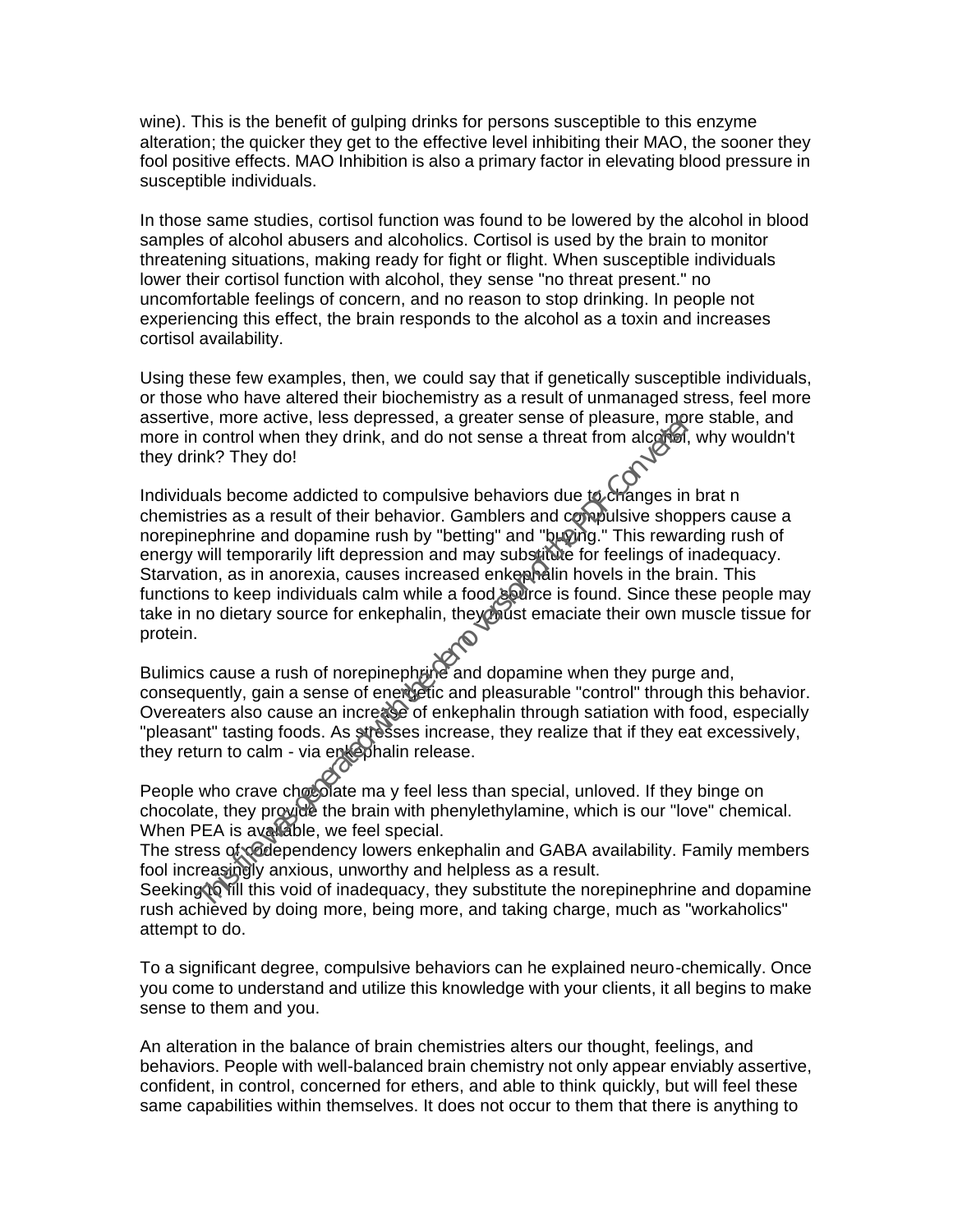wine). This is the benefit of gulping drinks for persons susceptible to this enzyme alteration; the quicker they get to the effective level inhibiting their MAO, the sooner they fool positive effects. MAO Inhibition is also a primary factor in elevating blood pressure in susceptible individuals.

In those same studies, cortisol function was found to be lowered by the alcohol in blood samples of alcohol abusers and alcoholics. Cortisol is used by the brain to monitor threatening situations, making ready for fight or flight. When susceptible individuals lower their cortisol function with alcohol, they sense "no threat present." no uncomfortable feelings of concern, and no reason to stop drinking. In people not experiencing this effect, the brain responds to the alcohol as a toxin and increases cortisol availability.

Using these few examples, then, we could say that if genetically susceptible individuals, or those who have altered their biochemistry as a result of unmanaged stress, feel more assertive, more active, less depressed, a greater sense of pleasure, more stable, and more in control when they drink, and do not sense a threat from alcohol, why wouldn't they drink? They do!

Individuals become addicted to compulsive behaviors due to changes in brat n chemistries as a result of their behavior. Gamblers and compulsive shoppers cause a norepinephrine and dopamine rush by "betting" and "buying." This rewarding rush of energy will temporarily lift depression and may substitute for feelings of inadequacy. Starvation, as in anorexia, causes increased enkephalin hovels in the brain. This functions to keep individuals calm while a food source is found. Since these people may take in no dietary source for enkephalin, they must emaciate their own muscle tissue for protein. From a control of the provide the brain of the properties of pheasure, non-<br>the control when they drink, and do not sense a threat from alcordia,<br>nk? They do!<br>In this file was a result of their behavior. Gamblers and compu

Bulimics cause a rush of norepinephrine and dopamine when they purge and, consequently, gain a sense of energetic and pleasurable "control" through this behavior. Overeaters also cause an increase of enkephalin through satiation with food, especially "pleasant" tasting foods. As stresses increase, they realize that if they eat excessively, they return to calm - via enkephalin release.

People who crave chocolate ma y feel less than special, unloved. If they binge on chocolate, they provide the brain with phenylethylamine, which is our "love" chemical. When PEA is available, we feel special.

The stress of codependency lowers enkephalin and GABA availability. Family members fool increasingly anxious, unworthy and helpless as a result.

Seeking to fill this void of inadequacy, they substitute the norepinephrine and dopamine rush achieved by doing more, being more, and taking charge, much as "workaholics" attempt to do.

To a significant degree, compulsive behaviors can he explained neuro-chemically. Once you come to understand and utilize this knowledge with your clients, it all begins to make sense to them and you.

An alteration in the balance of brain chemistries alters our thought, feelings, and behaviors. People with well-balanced brain chemistry not only appear enviably assertive, confident, in control, concerned for ethers, and able to think quickly, but will feel these same capabilities within themselves. It does not occur to them that there is anything to